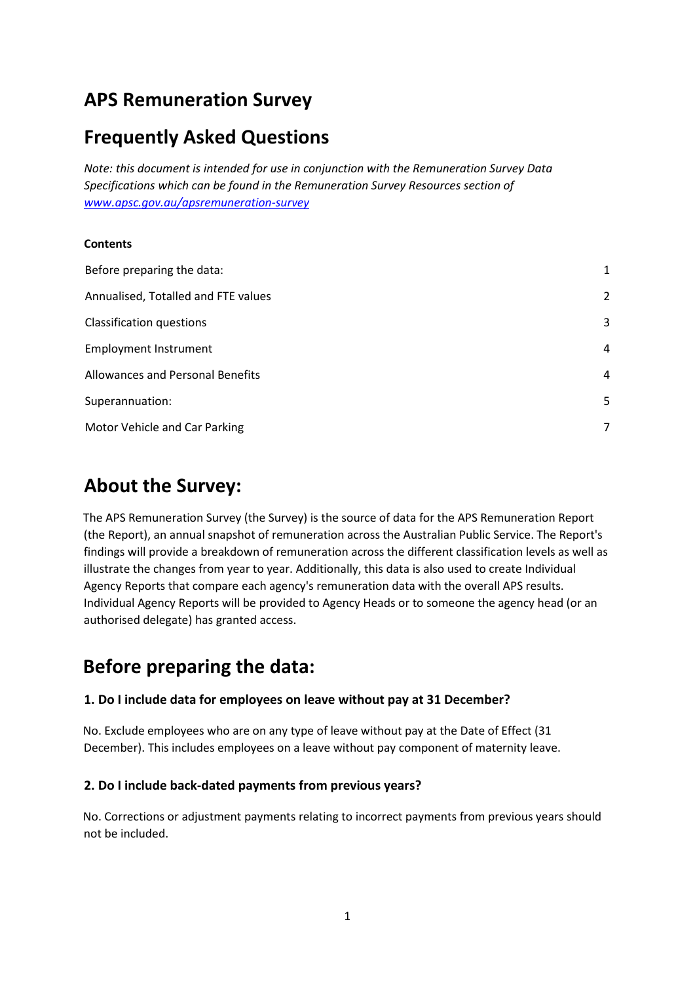# **APS Remuneration Survey**

# **Frequently Asked Questions**

*Note: this document is intended for use in conjunction with the Remuneration Survey Data Specifications which can be found in the Remuneration Survey Resources section of [www.apsc.gov.au/apsremuneration-survey](https://www.apsc.gov.au/aps-remuneration-survey)* 

#### **Contents**

| Before preparing the data:              | 1              |
|-----------------------------------------|----------------|
| Annualised, Totalled and FTE values     | 2              |
| <b>Classification questions</b>         | 3              |
| <b>Employment Instrument</b>            | $\overline{4}$ |
| <b>Allowances and Personal Benefits</b> | $\overline{4}$ |
| Superannuation:                         | 5              |
| <b>Motor Vehicle and Car Parking</b>    | 7              |

# **About the Survey:**

The APS Remuneration Survey (the Survey) is the source of data for the APS Remuneration Report (the Report), an annual snapshot of remuneration across the Australian Public Service. The Report's findings will provide a breakdown of remuneration across the different classification levels as well as illustrate the changes from year to year. Additionally, this data is also used to create Individual Agency Reports that compare each agency's remuneration data with the overall APS results. Individual Agency Reports will be provided to Agency Heads or to someone the agency head (or an authorised delegate) has granted access.

# <span id="page-0-0"></span>**Before preparing the data:**

### **1. Do I include data for employees on leave without pay at 31 December?**

No. Exclude employees who are on any type of leave without pay at the Date of Effect (31 December). This includes employees on a leave without pay component of maternity leave.

### **2. Do I include back-dated payments from previous years?**

No. Corrections or adjustment payments relating to incorrect payments from previous years should not be included.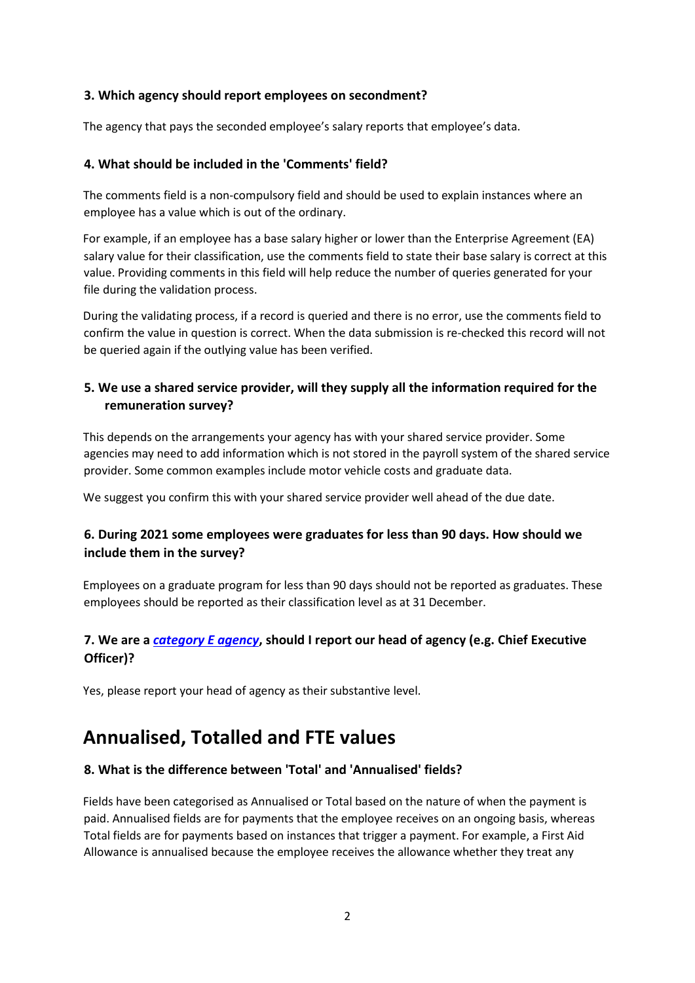#### **3. Which agency should report employees on secondment?**

The agency that pays the seconded employee's salary reports that employee's data.

#### **4. What should be included in the 'Comments' field?**

The comments field is a non-compulsory field and should be used to explain instances where an employee has a value which is out of the ordinary.

For example, if an employee has a base salary higher or lower than the Enterprise Agreement (EA) salary value for their classification, use the comments field to state their base salary is correct at this value. Providing comments in this field will help reduce the number of queries generated for your file during the validation process.

During the validating process, if a record is queried and there is no error, use the comments field to confirm the value in question is correct. When the data submission is re-checked this record will not be queried again if the outlying value has been verified.

### **5. We use a shared service provider, will they supply all the information required for the remuneration survey?**

This depends on the arrangements your agency has with your shared service provider. Some agencies may need to add information which is not stored in the payroll system of the shared service provider. Some common examples include motor vehicle costs and graduate data.

We suggest you confirm this with your shared service provider well ahead of the due date.

## **6. During 2021 some employees were graduates for less than 90 days. How should we include them in the survey?**

Employees on a graduate program for less than 90 days should not be reported as graduates. These employees should be reported as their classification level as at 31 December.

## **7. We are a** *[category E agency](https://www.apsc.gov.au/aps-agency-listing-agencies-covered-public-service-act-1999)***, should I report our head of agency (e.g. Chief Executive Officer)?**

Yes, please report your head of agency as their substantive level.

# <span id="page-1-0"></span>**Annualised, Totalled and FTE values**

#### **8. What is the difference between 'Total' and 'Annualised' fields?**

Fields have been categorised as Annualised or Total based on the nature of when the payment is paid. Annualised fields are for payments that the employee receives on an ongoing basis, whereas Total fields are for payments based on instances that trigger a payment. For example, a First Aid Allowance is annualised because the employee receives the allowance whether they treat any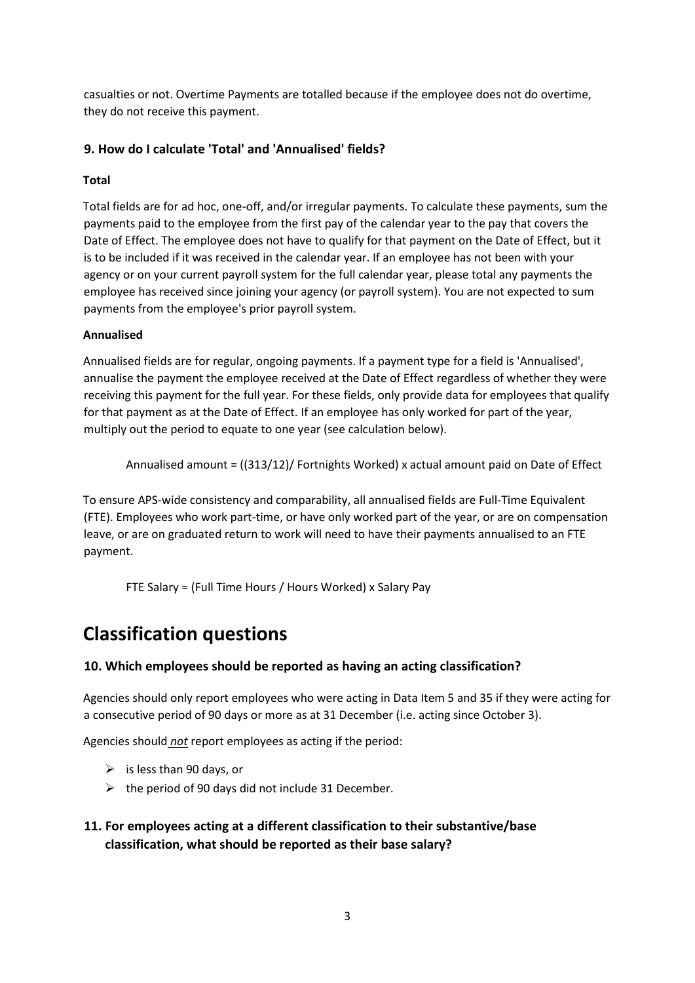casualties or not. Overtime Payments are totalled because if the employee does not do overtime, they do not receive this payment.

### **9. How do I calculate 'Total' and 'Annualised' fields?**

#### **Total**

Total fields are for ad hoc, one-off, and/or irregular payments. To calculate these payments, sum the payments paid to the employee from the first pay of the calendar year to the pay that covers the Date of Effect. The employee does not have to qualify for that payment on the Date of Effect, but it is to be included if it was received in the calendar year. If an employee has not been with your agency or on your current payroll system for the full calendar year, please total any payments the employee has received since joining your agency (or payroll system). You are not expected to sum payments from the employee's prior payroll system.

#### **Annualised**

Annualised fields are for regular, ongoing payments. If a payment type for a field is 'Annualised', annualise the payment the employee received at the Date of Effect regardless of whether they were receiving this payment for the full year. For these fields, only provide data for employees that qualify for that payment as at the Date of Effect. If an employee has only worked for part of the year, multiply out the period to equate to one year (see calculation below).

Annualised amount = ((313/12)/ Fortnights Worked) x actual amount paid on Date of Effect

To ensure APS-wide consistency and comparability, all annualised fields are Full-Time Equivalent (FTE). Employees who work part-time, or have only worked part of the year, or are on compensation leave, or are on graduated return to work will need to have their payments annualised to an FTE payment.

FTE Salary = (Full Time Hours / Hours Worked) x Salary Pay

# <span id="page-2-0"></span>**Classification questions**

#### **10. Which employees should be reported as having an acting classification?**

Agencies should only report employees who were acting in Data Item 5 and 35 if they were acting for a consecutive period of 90 days or more as at 31 December (i.e. acting since October 3).

Agencies should *not* report employees as acting if the period:

- $\triangleright$  is less than 90 days, or
- $\triangleright$  the period of 90 days did not include 31 December.

## **11. For employees acting at a different classification to their substantive/base classification, what should be reported as their base salary?**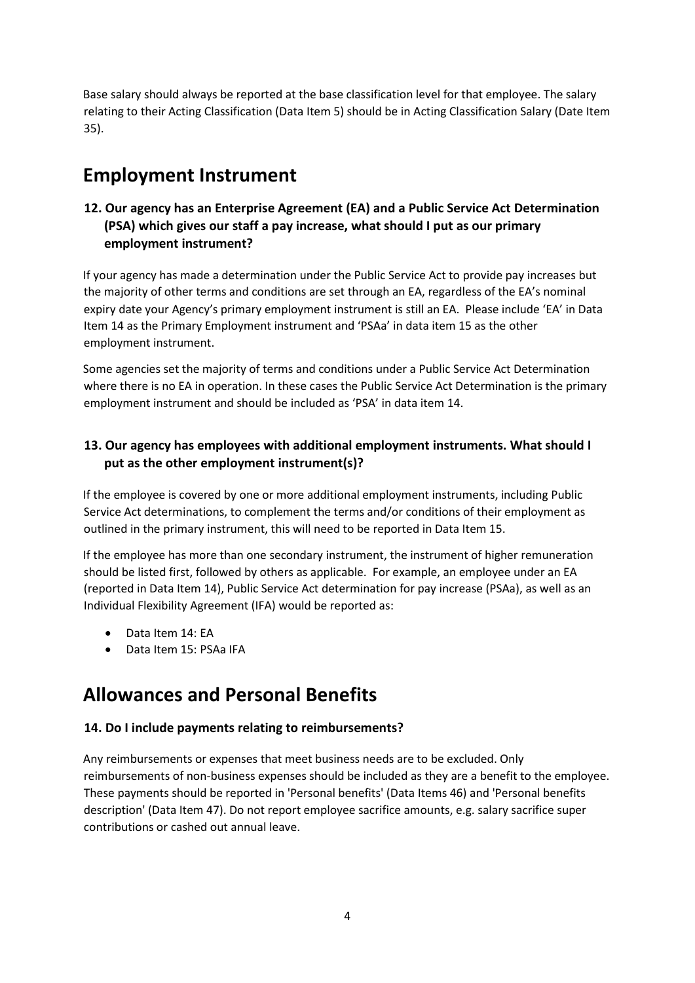Base salary should always be reported at the base classification level for that employee. The salary relating to their Acting Classification (Data Item 5) should be in Acting Classification Salary (Date Item 35).

# <span id="page-3-0"></span>**Employment Instrument**

## **12. Our agency has an Enterprise Agreement (EA) and a Public Service Act Determination (PSA) which gives our staff a pay increase, what should I put as our primary employment instrument?**

If your agency has made a determination under the Public Service Act to provide pay increases but the majority of other terms and conditions are set through an EA, regardless of the EA's nominal expiry date your Agency's primary employment instrument is still an EA. Please include 'EA' in Data Item 14 as the Primary Employment instrument and 'PSAa' in data item 15 as the other employment instrument.

Some agencies set the majority of terms and conditions under a Public Service Act Determination where there is no EA in operation. In these cases the Public Service Act Determination is the primary employment instrument and should be included as 'PSA' in data item 14.

## **13. Our agency has employees with additional employment instruments. What should I put as the other employment instrument(s)?**

If the employee is covered by one or more additional employment instruments, including Public Service Act determinations, to complement the terms and/or conditions of their employment as outlined in the primary instrument, this will need to be reported in Data Item 15.

If the employee has more than one secondary instrument, the instrument of higher remuneration should be listed first, followed by others as applicable. For example, an employee under an EA (reported in Data Item 14), Public Service Act determination for pay increase (PSAa), as well as an Individual Flexibility Agreement (IFA) would be reported as:

- Data Item 14: EA
- Data Item 15: PSAa IFA

# <span id="page-3-1"></span>**Allowances and Personal Benefits**

### **14. Do I include payments relating to reimbursements?**

Any reimbursements or expenses that meet business needs are to be excluded. Only reimbursements of non-business expenses should be included as they are a benefit to the employee. These payments should be reported in 'Personal benefits' (Data Items 46) and 'Personal benefits description' (Data Item 47). Do not report employee sacrifice amounts, e.g. salary sacrifice super contributions or cashed out annual leave.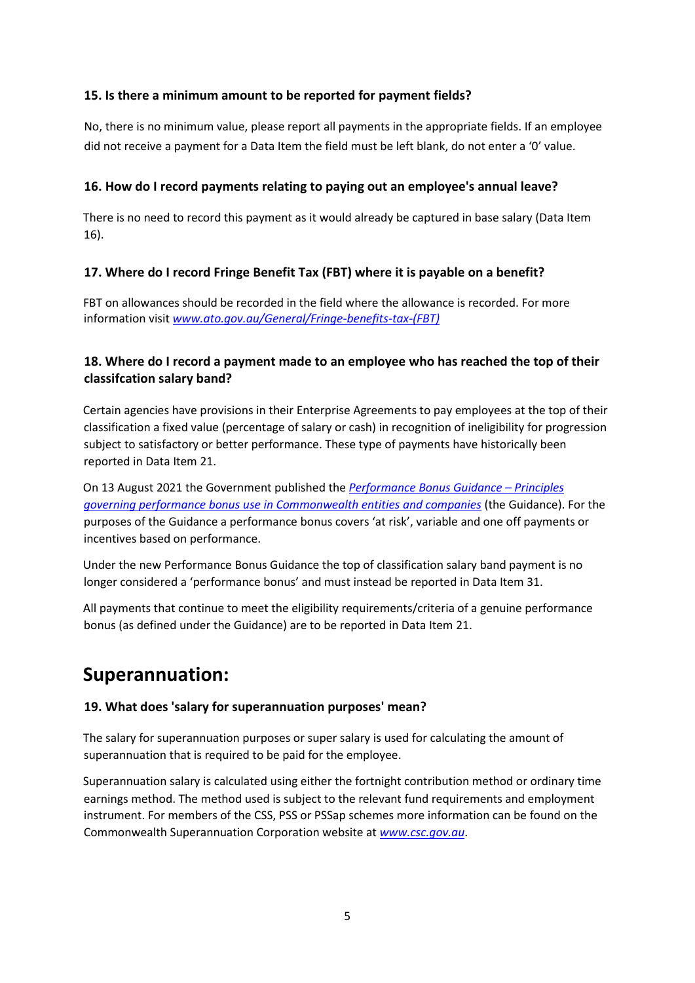### **15. Is there a minimum amount to be reported for payment fields?**

No, there is no minimum value, please report all payments in the appropriate fields. If an employee did not receive a payment for a Data Item the field must be left blank, do not enter a '0' value.

#### **16. How do I record payments relating to paying out an employee's annual leave?**

There is no need to record this payment as it would already be captured in base salary (Data Item 16).

#### **17. Where do I record Fringe Benefit Tax (FBT) where it is payable on a benefit?**

FBT on allowances should be recorded in the field where the allowance is recorded. For more information visit *[www.ato.gov.au/General/Fringe-](www.ato.gov.au/General/Fringe)[benefits-tax-\(FBT\)](https://www.ato.gov.au/General/Fringe-benefits-tax-(FBT))*

### **18. Where do I record a payment made to an employee who has reached the top of their classifcation salary band?**

Certain agencies have provisions in their Enterprise Agreements to pay employees at the top of their classification a fixed value (percentage of salary or cash) in recognition of ineligibility for progression subject to satisfactory or better performance. These type of payments have historically been reported in Data Item 21.

On 13 August 2021 the Government published the *[Performance Bonus Guidance –](https://www.apsc.gov.au/circulars-guidance-and-advice/performance-bonus-guidance) Principles [governing performance bonus use in Commonwealth entities and companies](https://www.apsc.gov.au/circulars-guidance-and-advice/performance-bonus-guidance)* (the Guidance). For the purposes of the Guidance a performance bonus covers 'at risk', variable and one off payments or incentives based on performance.

Under the new Performance Bonus Guidance the top of classification salary band payment is no longer considered a 'performance bonus' and must instead be reported in Data Item 31.

All payments that continue to meet the eligibility requirements/criteria of a genuine performance bonus (as defined under the Guidance) are to be reported in Data Item 21.

# <span id="page-4-0"></span>**Superannuation:**

#### **19. What does 'salary for superannuation purposes' mean?**

The salary for superannuation purposes or super salary is used for calculating the amount of superannuation that is required to be paid for the employee.

Superannuation salary is calculated using either the fortnight contribution method or ordinary time earnings method. The method used is subject to the relevant fund requirements and employment instrument. For members of the CSS, PSS or PSSap schemes more information can be found on the Commonwealth Superannuation Corporation website at *www.csc.gov.au*.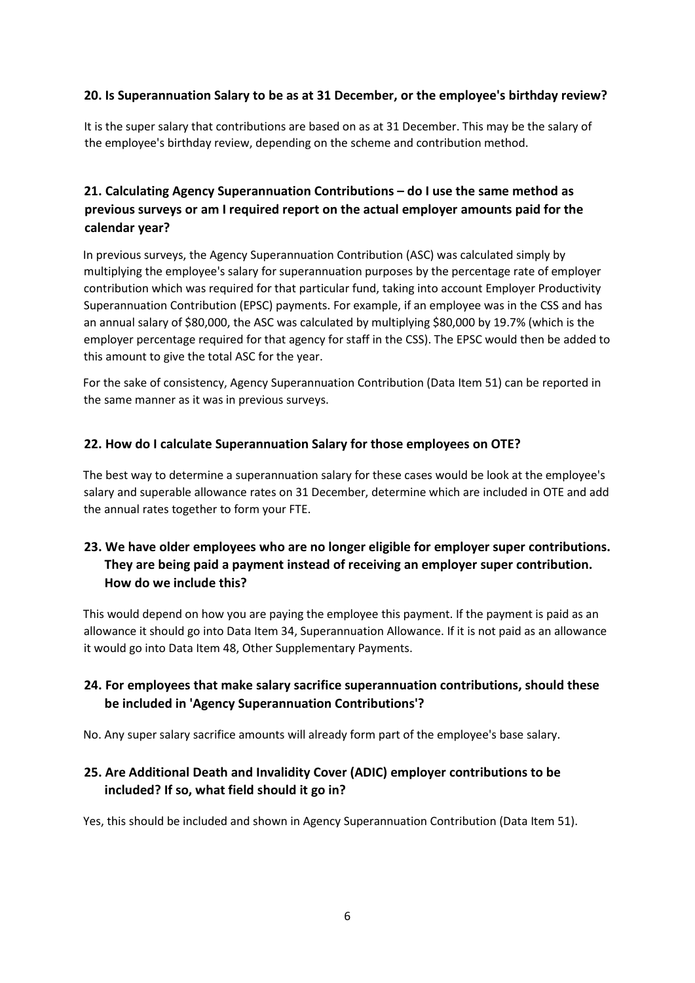### **20. Is Superannuation Salary to be as at 31 December, or the employee's birthday review?**

It is the super salary that contributions are based on as at 31 December. This may be the salary of the employee's birthday review, depending on the scheme and contribution method.

## **21. Calculating Agency Superannuation Contributions – do I use the same method as previous surveys or am I required report on the actual employer amounts paid for the calendar year?**

In previous surveys, the Agency Superannuation Contribution (ASC) was calculated simply by multiplying the employee's salary for superannuation purposes by the percentage rate of employer contribution which was required for that particular fund, taking into account Employer Productivity Superannuation Contribution (EPSC) payments. For example, if an employee was in the CSS and has an annual salary of \$80,000, the ASC was calculated by multiplying \$80,000 by 19.7% (which is the employer percentage required for that agency for staff in the CSS). The EPSC would then be added to this amount to give the total ASC for the year.

For the sake of consistency, Agency Superannuation Contribution (Data Item 51) can be reported in the same manner as it was in previous surveys.

#### **22. How do I calculate Superannuation Salary for those employees on OTE?**

The best way to determine a superannuation salary for these cases would be look at the employee's salary and superable allowance rates on 31 December, determine which are included in OTE and add the annual rates together to form your FTE.

## **23. We have older employees who are no longer eligible for employer super contributions. They are being paid a payment instead of receiving an employer super contribution. How do we include this?**

This would depend on how you are paying the employee this payment. If the payment is paid as an allowance it should go into Data Item 34, Superannuation Allowance. If it is not paid as an allowance it would go into Data Item 48, Other Supplementary Payments.

## **24. For employees that make salary sacrifice superannuation contributions, should these be included in 'Agency Superannuation Contributions'?**

No. Any super salary sacrifice amounts will already form part of the employee's base salary.

## **25. Are Additional Death and Invalidity Cover (ADIC) employer contributions to be included? If so, what field should it go in?**

Yes, this should be included and shown in Agency Superannuation Contribution (Data Item 51).